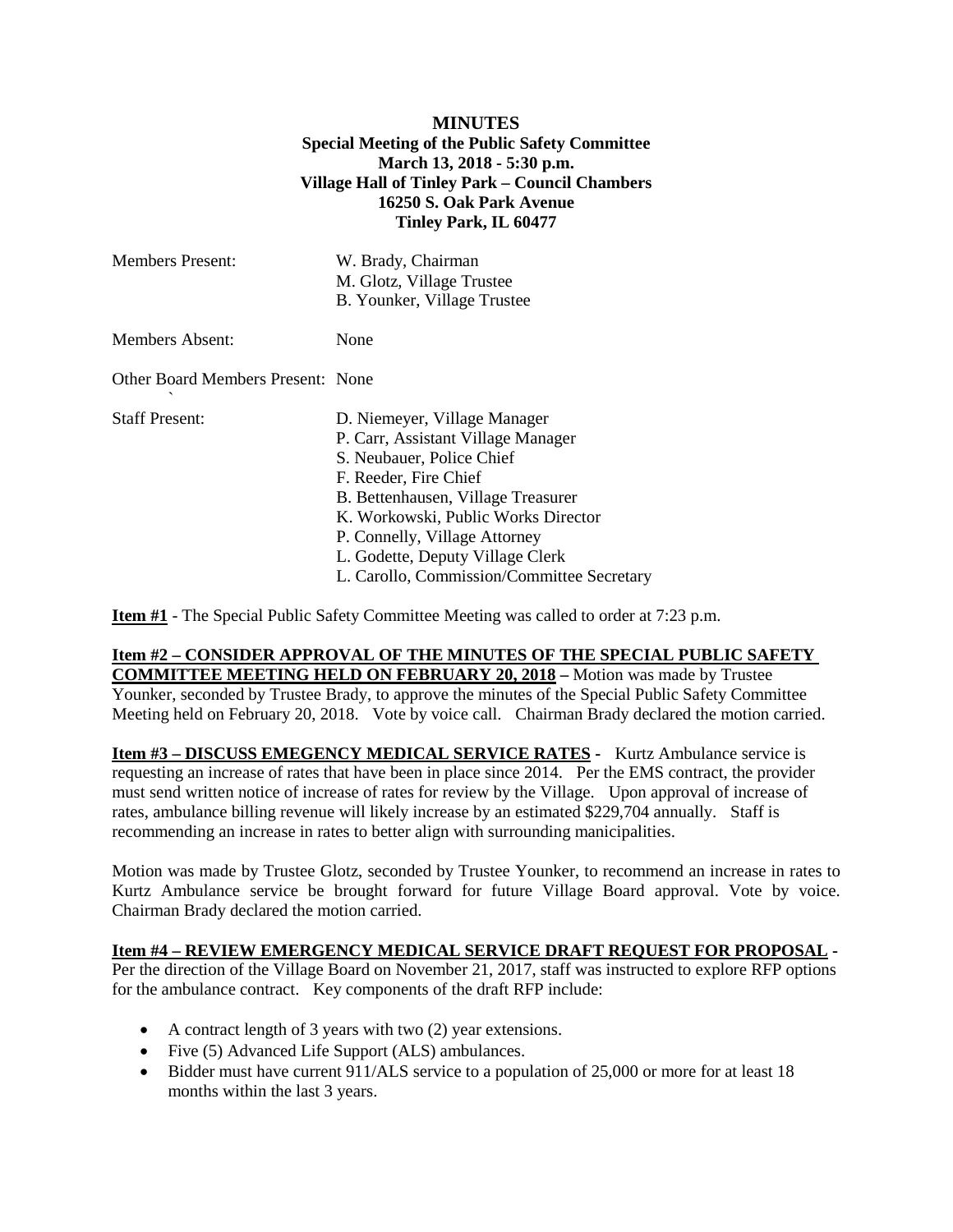## **MINUTES Special Meeting of the Public Safety Committee March 13, 2018 - 5:30 p.m. Village Hall of Tinley Park – Council Chambers 16250 S. Oak Park Avenue Tinley Park, IL 60477**

| <b>Members Present:</b>           | W. Brady, Chairman<br>M. Glotz, Village Trustee<br>B. Younker, Village Trustee                                                                                                                                                                                                                                           |
|-----------------------------------|--------------------------------------------------------------------------------------------------------------------------------------------------------------------------------------------------------------------------------------------------------------------------------------------------------------------------|
| Members Absent:                   | None                                                                                                                                                                                                                                                                                                                     |
| Other Board Members Present: None |                                                                                                                                                                                                                                                                                                                          |
| <b>Staff Present:</b>             | D. Niemeyer, Village Manager<br>P. Carr, Assistant Village Manager<br>S. Neubauer, Police Chief<br>F. Reeder, Fire Chief<br>B. Bettenhausen, Village Treasurer<br>K. Workowski, Public Works Director<br>P. Connelly, Village Attorney<br>L. Godette, Deputy Village Clerk<br>L. Carollo, Commission/Committee Secretary |

**Item #1** - The Special Public Safety Committee Meeting was called to order at 7:23 p.m.

## **Item #2 – CONSIDER APPROVAL OF THE MINUTES OF THE SPECIAL PUBLIC SAFETY COMMITTEE MEETING HELD ON FEBRUARY 20, 2018 –** Motion was made by Trustee Younker, seconded by Trustee Brady, to approve the minutes of the Special Public Safety Committee Meeting held on February 20, 2018. Vote by voice call. Chairman Brady declared the motion carried.

**Item #3 – DISCUSS EMEGENCY MEDICAL SERVICE RATES -** Kurtz Ambulance service is requesting an increase of rates that have been in place since 2014. Per the EMS contract, the provider must send written notice of increase of rates for review by the Village. Upon approval of increase of rates, ambulance billing revenue will likely increase by an estimated \$229,704 annually. Staff is recommending an increase in rates to better align with surrounding manicipalities.

Motion was made by Trustee Glotz, seconded by Trustee Younker, to recommend an increase in rates to Kurtz Ambulance service be brought forward for future Village Board approval. Vote by voice. Chairman Brady declared the motion carried.

## **Item #4 – REVIEW EMERGENCY MEDICAL SERVICE DRAFT REQUEST FOR PROPOSAL -**

Per the direction of the Village Board on November 21, 2017, staff was instructed to explore RFP options for the ambulance contract. Key components of the draft RFP include:

- A contract length of 3 years with two (2) year extensions.
- Five (5) Advanced Life Support (ALS) ambulances.
- Bidder must have current 911/ALS service to a population of 25,000 or more for at least 18 months within the last 3 years.